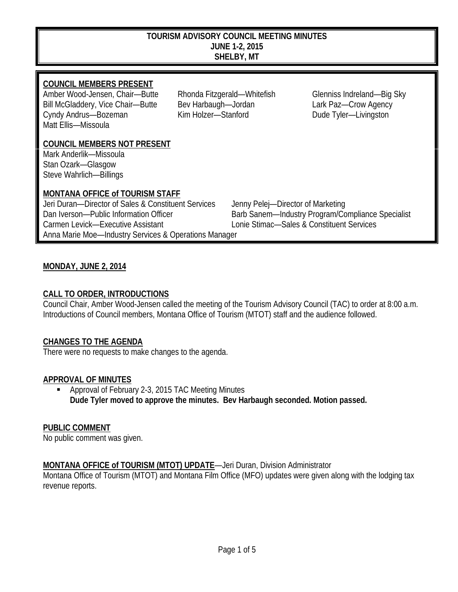#### **TOURISM ADVISORY COUNCIL MEETING MINUTES JUNE 1-2, 2015 SHELBY, MT**

#### **COUNCIL MEMBERS PRESENT**

Amber Wood-Jensen, Chair—Butte Rhonda Fitzgerald—Whitefish Glenniss Indreland—Big Sky Bill McGladdery, Vice Chair—Butte Bev Harbaugh—Jordan Lark Paz—Crow Agency Cyndy Andrus—Bozeman Kim Holzer—Stanford Dude Tyler—Livingston Matt Ellis—Missoula

#### **COUNCIL MEMBERS NOT PRESENT**

Mark Anderlik—Missoula Stan Ozark—Glasgow Steve Wahrlich—Billings

#### **MONTANA OFFICE of TOURISM STAFF**

Jeri Duran—Director of Sales & Constituent Services Jenny Pelej—Director of Marketing Dan Iverson—Public Information Officer Barb Sanem—Industry Program/Compliance Specialist Carmen Levick—Executive Assistant Lonie Stimac—Sales & Constituent Services Anna Marie Moe—Industry Services & Operations Manager

### **MONDAY, JUNE 2, 2014**

#### **CALL TO ORDER, INTRODUCTIONS**

Council Chair, Amber Wood-Jensen called the meeting of the Tourism Advisory Council (TAC) to order at 8:00 a.m. Introductions of Council members, Montana Office of Tourism (MTOT) staff and the audience followed.

#### **CHANGES TO THE AGENDA**

There were no requests to make changes to the agenda.

#### **APPROVAL OF MINUTES**

 Approval of February 2-3, 2015 TAC Meeting Minutes **Dude Tyler moved to approve the minutes. Bev Harbaugh seconded. Motion passed.**

#### **PUBLIC COMMENT**

No public comment was given.

#### **MONTANA OFFICE of TOURISM (MTOT) UPDATE**—Jeri Duran, Division Administrator

Montana Office of Tourism (MTOT) and Montana Film Office (MFO) updates were given along with the lodging tax revenue reports.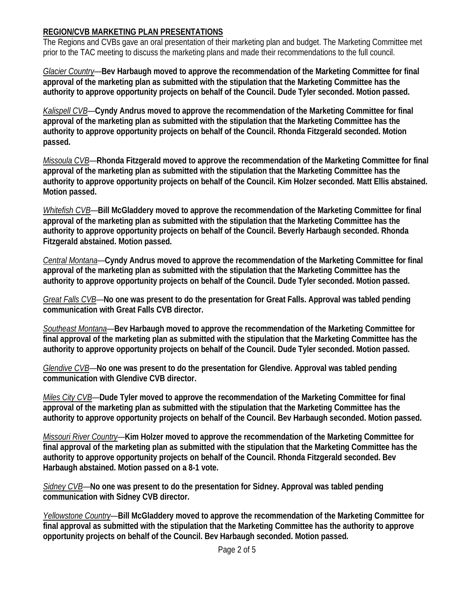### **REGION/CVB MARKETING PLAN PRESENTATIONS**

The Regions and CVBs gave an oral presentation of their marketing plan and budget. The Marketing Committee met prior to the TAC meeting to discuss the marketing plans and made their recommendations to the full council.

*Glacier Country*—**Bev Harbaugh moved to approve the recommendation of the Marketing Committee for final approval of the marketing plan as submitted with the stipulation that the Marketing Committee has the authority to approve opportunity projects on behalf of the Council. Dude Tyler seconded. Motion passed.**

*Kalispell CVB*—**Cyndy Andrus moved to approve the recommendation of the Marketing Committee for final approval of the marketing plan as submitted with the stipulation that the Marketing Committee has the authority to approve opportunity projects on behalf of the Council. Rhonda Fitzgerald seconded. Motion passed.**

*Missoula CVB*—**Rhonda Fitzgerald moved to approve the recommendation of the Marketing Committee for final approval of the marketing plan as submitted with the stipulation that the Marketing Committee has the authority to approve opportunity projects on behalf of the Council. Kim Holzer seconded. Matt Ellis abstained. Motion passed.**

*Whitefish CVB*—**Bill McGladdery moved to approve the recommendation of the Marketing Committee for final approval of the marketing plan as submitted with the stipulation that the Marketing Committee has the authority to approve opportunity projects on behalf of the Council. Beverly Harbaugh seconded. Rhonda Fitzgerald abstained. Motion passed.**

*Central Montana*—**Cyndy Andrus moved to approve the recommendation of the Marketing Committee for final approval of the marketing plan as submitted with the stipulation that the Marketing Committee has the authority to approve opportunity projects on behalf of the Council. Dude Tyler seconded. Motion passed.**

*Great Falls CVB*—**No one was present to do the presentation for Great Falls. Approval was tabled pending communication with Great Falls CVB director.**

*Southeast Montana*—**Bev Harbaugh moved to approve the recommendation of the Marketing Committee for final approval of the marketing plan as submitted with the stipulation that the Marketing Committee has the authority to approve opportunity projects on behalf of the Council. Dude Tyler seconded. Motion passed.**

*Glendive CVB*—**No one was present to do the presentation for Glendive. Approval was tabled pending communication with Glendive CVB director.** 

*Miles City CVB*—**Dude Tyler moved to approve the recommendation of the Marketing Committee for final approval of the marketing plan as submitted with the stipulation that the Marketing Committee has the authority to approve opportunity projects on behalf of the Council. Bev Harbaugh seconded. Motion passed.**

*Missouri River Country*—**Kim Holzer moved to approve the recommendation of the Marketing Committee for final approval of the marketing plan as submitted with the stipulation that the Marketing Committee has the authority to approve opportunity projects on behalf of the Council. Rhonda Fitzgerald seconded. Bev Harbaugh abstained. Motion passed on a 8-1 vote.**

*Sidney CVB*—**No one was present to do the presentation for Sidney. Approval was tabled pending communication with Sidney CVB director.** 

*Yellowstone Country*—**Bill McGladdery moved to approve the recommendation of the Marketing Committee for final approval as submitted with the stipulation that the Marketing Committee has the authority to approve opportunity projects on behalf of the Council. Bev Harbaugh seconded. Motion passed.**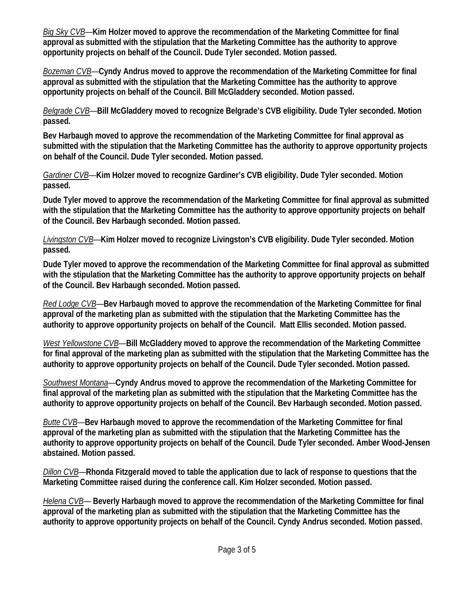*Big Sky CVB*—**Kim Holzer moved to approve the recommendation of the Marketing Committee for final approval as submitted with the stipulation that the Marketing Committee has the authority to approve opportunity projects on behalf of the Council. Dude Tyler seconded. Motion passed.**

*Bozeman CVB*—**Cyndy Andrus moved to approve the recommendation of the Marketing Committee for final approval as submitted with the stipulation that the Marketing Committee has the authority to approve opportunity projects on behalf of the Council. Bill McGladdery seconded. Motion passed.**

*Belgrade CVB*—**Bill McGladdery moved to recognize Belgrade's CVB eligibility. Dude Tyler seconded. Motion passed.** 

**Bev Harbaugh moved to approve the recommendation of the Marketing Committee for final approval as submitted with the stipulation that the Marketing Committee has the authority to approve opportunity projects on behalf of the Council. Dude Tyler seconded. Motion passed.**

*Gardiner CVB*—**Kim Holzer moved to recognize Gardiner's CVB eligibility. Dude Tyler seconded. Motion passed.** 

**Dude Tyler moved to approve the recommendation of the Marketing Committee for final approval as submitted with the stipulation that the Marketing Committee has the authority to approve opportunity projects on behalf of the Council. Bev Harbaugh seconded. Motion passed.**

*Livingston CVB*—**Kim Holzer moved to recognize Livingston's CVB eligibility. Dude Tyler seconded. Motion passed.** 

**Dude Tyler moved to approve the recommendation of the Marketing Committee for final approval as submitted with the stipulation that the Marketing Committee has the authority to approve opportunity projects on behalf of the Council. Bev Harbaugh seconded. Motion passed.**

*Red Lodge CVB*—**Bev Harbaugh moved to approve the recommendation of the Marketing Committee for final approval of the marketing plan as submitted with the stipulation that the Marketing Committee has the authority to approve opportunity projects on behalf of the Council. Matt Ellis seconded. Motion passed.**

*West Yellowstone CVB*—**Bill McGladdery moved to approve the recommendation of the Marketing Committee for final approval of the marketing plan as submitted with the stipulation that the Marketing Committee has the authority to approve opportunity projects on behalf of the Council. Dude Tyler seconded. Motion passed.**

*Southwest Montana*—**Cyndy Andrus moved to approve the recommendation of the Marketing Committee for final approval of the marketing plan as submitted with the stipulation that the Marketing Committee has the authority to approve opportunity projects on behalf of the Council. Bev Harbaugh seconded. Motion passed.**

*Butte CVB*—**Bev Harbaugh moved to approve the recommendation of the Marketing Committee for final approval of the marketing plan as submitted with the stipulation that the Marketing Committee has the authority to approve opportunity projects on behalf of the Council. Dude Tyler seconded. Amber Wood-Jensen abstained. Motion passed.**

*Dillon CVB*—**Rhonda Fitzgerald moved to table the application due to lack of response to questions that the Marketing Committee raised during the conference call. Kim Holzer seconded. Motion passed.**

*Helena CVB*— **Beverly Harbaugh moved to approve the recommendation of the Marketing Committee for final approval of the marketing plan as submitted with the stipulation that the Marketing Committee has the authority to approve opportunity projects on behalf of the Council. Cyndy Andrus seconded. Motion passed.**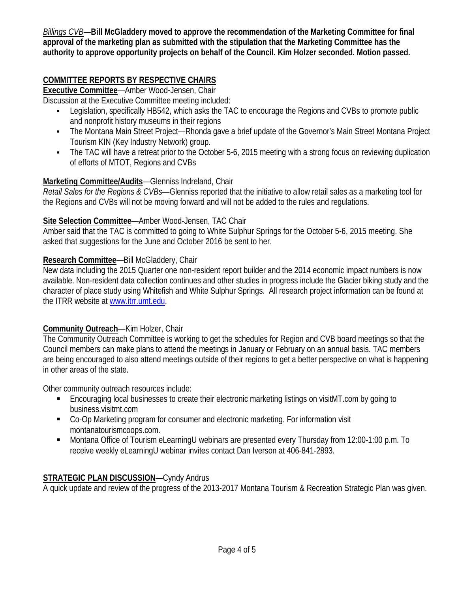*Billings CVB*—**Bill McGladdery moved to approve the recommendation of the Marketing Committee for final approval of the marketing plan as submitted with the stipulation that the Marketing Committee has the authority to approve opportunity projects on behalf of the Council. Kim Holzer seconded. Motion passed.**

## **COMMITTEE REPORTS BY RESPECTIVE CHAIRS**

**Executive Committee**—Amber Wood-Jensen, Chair

Discussion at the Executive Committee meeting included:

- **EXECTS Legislation, specifically HB542, which asks the TAC to encourage the Regions and CVBs to promote public** and nonprofit history museums in their regions
- The Montana Main Street Project—Rhonda gave a brief update of the Governor's Main Street Montana Project Tourism KIN (Key Industry Network) group.
- The TAC will have a retreat prior to the October 5-6, 2015 meeting with a strong focus on reviewing duplication of efforts of MTOT, Regions and CVBs

### **Marketing Committee/Audits**—Glenniss Indreland, Chair

*Retail Sales for the Regions & CVBs*—Glenniss reported that the initiative to allow retail sales as a marketing tool for the Regions and CVBs will not be moving forward and will not be added to the rules and regulations.

### **Site Selection Committee**—Amber Wood-Jensen, TAC Chair

Amber said that the TAC is committed to going to White Sulphur Springs for the October 5-6, 2015 meeting. She asked that suggestions for the June and October 2016 be sent to her.

### **Research Committee**—Bill McGladdery, Chair

New data including the 2015 Quarter one non-resident report builder and the 2014 economic impact numbers is now available. Non-resident data collection continues and other studies in progress include the Glacier biking study and the character of place study using Whitefish and White Sulphur Springs. All research project information can be found at the ITRR website a[t www.itrr.umt.edu.](http://www.itrr.umt.edu/)

### **Community Outreach**—Kim Holzer, Chair

The Community Outreach Committee is working to get the schedules for Region and CVB board meetings so that the Council members can make plans to attend the meetings in January or February on an annual basis. TAC members are being encouraged to also attend meetings outside of their regions to get a better perspective on what is happening in other areas of the state.

Other community outreach resources include:

- Encouraging local businesses to create their electronic marketing listings on visitMT.com by going to business.visitmt.com
- Co-Op Marketing program for consumer and electronic marketing. For information visit montanatourismcoops.com.
- Montana Office of Tourism eLearningU webinars are presented every Thursday from 12:00-1:00 p.m. To receive weekly eLearningU webinar invites contact Dan Iverson at 406-841-2893.

### **STRATEGIC PLAN DISCUSSION**—Cyndy Andrus

A quick update and review of the progress of the 2013-2017 Montana Tourism & Recreation Strategic Plan was given.